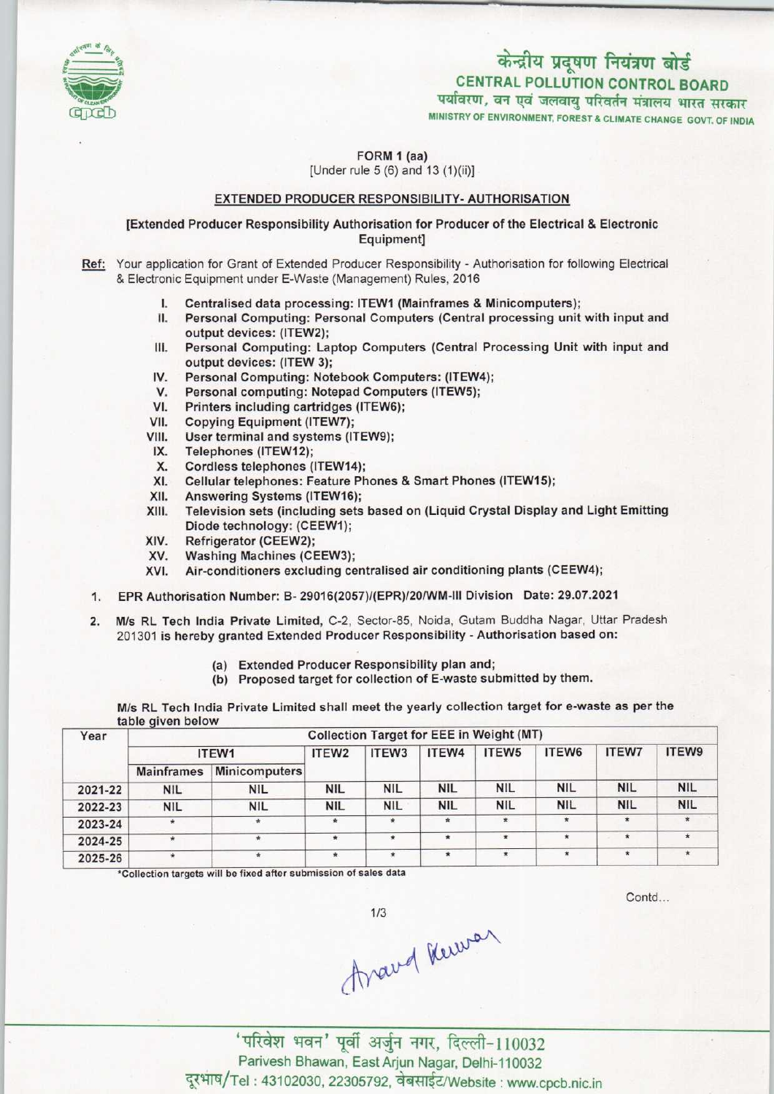

# केन्द्रीय प्रदूषण नियंत्रण बोर्ड CENTRAL POLLUTION CONTROL BOARD<br>पर्यावरण, वन एवं जलवायु परिवर्तन मंत्रालय भारत सरकार

MINISTRY OF ENVIRONMENT, FOREST & CLIMATE CHANGE GOVT. OF INDIA

FORM 1 (aa) [Under rule 5 (6) and 13 (1)(ii)]

## EXTENDED PRODUCER RESPONSIBILITY- AUTHORISATION

### [Extended Producer Responsibility Authorisation for Producer of the Electrical & Electronic Equipment]

Ref: Your application for Grant of Extended Producer Responsibility - Authorisation for following Electrical & Electronic Equipment under E-Waste (Management) Rules, 2016

- I. Centralised data processing: ITEW1 (Mainframes & Minicomputers);<br>II. Personal Computing: Personal Computers (Central processing unit
- Personal Computing: Personal Computers (Central processing unit with input and output devices: (1TEW2);
- III. Personal Computing: Laptop Computers (Central Processing Unit with input and output devices: (ITEW 3); III. Personal Computing: Laptop Computers (Central Protection)<br>
IV. Personal Computing: Notebook Computers: (ITEW4);<br>
V. Personal computing: Notebook Computers: (ITEW4);
- Supplit devices: (ITEW 3);<br>V. Personal Computing: Notebook Computers: (ITEW<br>V. Personal computing: Notepad Computers (ITEW5);<br>V. Printers including contridues (ITEW6);
- IV. Personal Computing: Notebook Computers: (ITEW-<br>V. Personal computing: Notepad Computers (ITEW5);<br>VI. Printers including cartridges (ITEW6);<br>VII. Copying Equipment (ITEW7);
- 
- VII. Copying Equipment (ITEW7);<br>VIII. User terminal and systems (IT
- VI. Printers including cartridges (ITEW)<br>VII. Copying Equipment (ITEW7);<br>VIII. User terminal and systems (ITEW9);<br>IX. Telephones (ITEW12); The Copying Equipment (1)<br>IX. Telephones (ITEW12);<br>X. Cordless telephones (
- 
- IX. Telephones (ITEW12);<br>X. Cordless telephones (ITEW14);<br>XI. Cellular telephones: Feature Ph
- XI.Cellulartelephones: Feature Phones & Smart Phones(ITEW15);
- XI. Cellular telephones: Feature P<br>XII. Answering Systems (ITEW16);<br>XIII. Television sets (including sets)
- XII. Answering Systems (ITEW16);<br>XIII. Television sets (including sets based on (Liquid Crystal Display and Light Emitting Diode technology: (CEEW1);
- XIV. Refrigerator (CEEW2);<br>XV. Washing Machines (CI
- XV. Washing Machines (CEEW3);<br>XVI. Air-conditioners excluding ce
- Air-conditioners excluding centralised air conditioning plants (CEEW4);
- 1.EPR Authorisation Number: B- 29016(2057)/(EPR)/20/WM-lll Division Date: 29.07.2021
- 2. M/s RL Tech India Private Limited, C-2, Sector-85, Noida, Gutam Buddha Nagar, Uttar Pradesh 201301 is hereby granted Extended Producer Responsibility - Authorisation based on:
	- (a) Extended Producer Responsibility plan and;
	- (b) Proposed target for collection of E-waste submitted by them.

M/s RL Tech India Private Limited shall meet the yearly collection target for e-waste as per the table qiven below

| Year    | $\sim$<br><b>Collection Target for EEE in Weight (MT)</b> |                      |                   |            |            |              |            |              |              |  |
|---------|-----------------------------------------------------------|----------------------|-------------------|------------|------------|--------------|------------|--------------|--------------|--|
|         | ITEW1                                                     |                      | ITEW <sub>2</sub> | ITEW3      | ITEW4      | ITEW5        | ITEW6      | <b>ITEW7</b> | <b>ITEW9</b> |  |
|         | <b>Mainframes</b>                                         | <b>Minicomputers</b> |                   |            |            |              |            |              |              |  |
| 2021-22 | <b>NIL</b>                                                | <b>NIL</b>           | <b>NIL</b>        | <b>NIL</b> | <b>NIL</b> | <b>NIL</b>   | <b>NIL</b> | <b>NIL</b>   | <b>NIL</b>   |  |
| 2022-23 | <b>NIL</b>                                                | <b>NIL</b>           | <b>NIL</b>        | <b>NIL</b> | <b>NIL</b> | <b>NIL</b>   | <b>NIL</b> | <b>NIL</b>   | <b>NIL</b>   |  |
| 2023-24 | $\ast$                                                    | $\star$              | $\star$           | $\ast$     | $\star$    | $\pmb{\ast}$ | $\star$    | $\star$      | $\star$      |  |
| 2024-25 | $\star$                                                   | $*$                  | $\star$           | $\star$    | $\star$    | $\star$      | $\star$    | $\star$      | $\star$      |  |
| 2025-26 | $\star$                                                   | $\star$              | $\star$           | $\star$    |            | $\star$      | $\star$    | $\star$      |              |  |

\*Collection targets will be fixed after submission of sales data

Contd...

 $1/3$ 

Aravel Kewan

'परिवेश भवन' पूर्वी अर्जुन नगर, दिल्ली-110032 Parivesh Bhawan, East Arjun Nagar, Delhi-110032<br>Tel: 43102030, 22305792, वेबसाईट/Website : www.cpcb.nic.in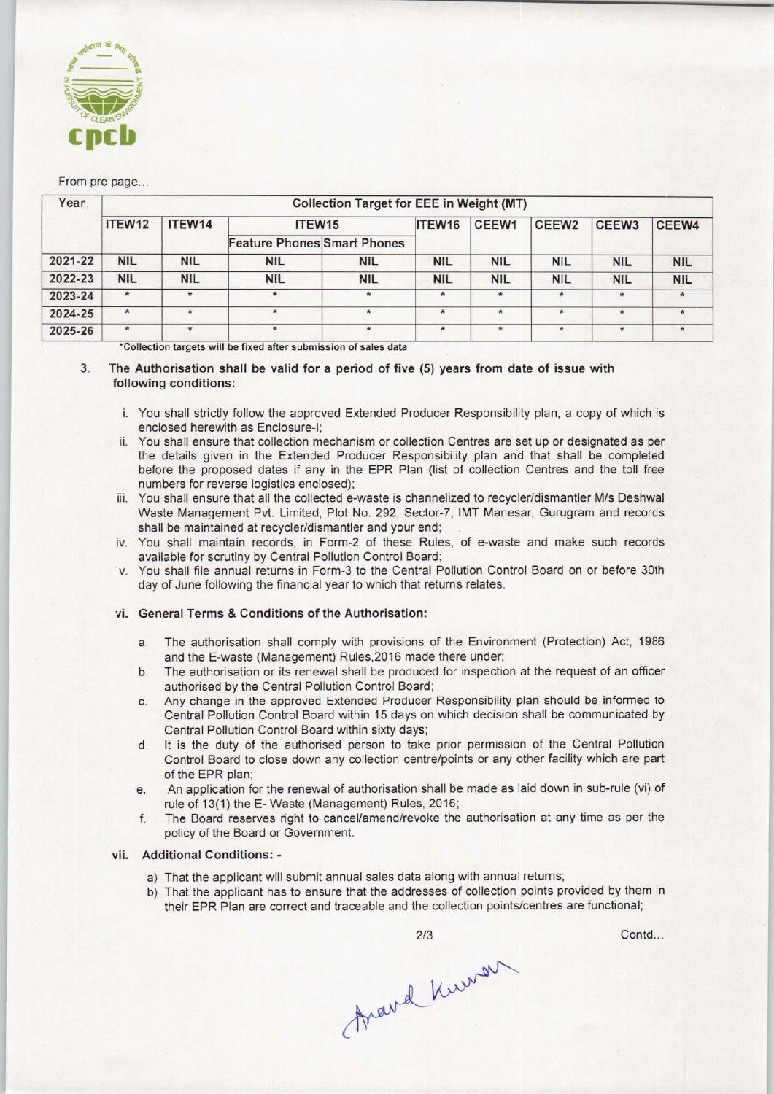

#### From pre page...

| <b>Collection Target for EEE in Weight (MT)</b> |            |            |            |                                    |            |                   |                   |              |  |  |
|-------------------------------------------------|------------|------------|------------|------------------------------------|------------|-------------------|-------------------|--------------|--|--|
| ITEW12                                          | ITEW14     | ITEW15     |            | ITEW16                             | CEEW1      | CEEW <sub>2</sub> | CEEW <sub>3</sub> | CEEW4        |  |  |
|                                                 |            |            |            |                                    |            |                   |                   |              |  |  |
| <b>NIL</b>                                      | <b>NIL</b> | <b>NIL</b> | <b>NIL</b> | <b>NIL</b>                         | <b>NIL</b> | <b>NIL</b>        | <b>NIL</b>        | <b>NIL</b>   |  |  |
| <b>NIL</b>                                      | <b>NIL</b> | <b>NIL</b> | <b>NIL</b> | <b>NIL</b>                         | <b>NIL</b> | <b>NIL</b>        | <b>NIL</b>        | <b>NIL</b>   |  |  |
|                                                 | $\star$    |            | $\star$    |                                    | $\star$    | $\ast$            | $\ast$            |              |  |  |
| ŵ.                                              | $\star$    | *          | ٠          | $\star$                            | $\star$    | $\Phi$            | $\frac{1}{2}$     | $\triangleq$ |  |  |
| $\dot{\pi}$                                     | $\star$    |            | $\star$    | $\star$                            | $\star$    | $\pmb{\pi}$       |                   |              |  |  |
|                                                 |            |            |            | <b>Feature Phones Smart Phones</b> |            |                   |                   |              |  |  |

\*Collection targets will be fixed after submission of sales data

- 3. The Authorisation shall be valid for a period of five (5) years from date of issue with following conditions:
	- i. You shall strictly follow the approved Extended Producer Responsibility plan, a copy of which is enclosed herewith as Enclosure-I;
	- ii. You shall ensure that collection mechanism or collection Centres are set up or designated as per the details given in the Extended Producer Responsibility plan and that shall be completed before the proposed dates if any in the EPR Plan (list of collection Centres and the toll free numbers for reverse logistics enclosed);
	- iii. You shall ensure that all the collected e-waste is channelized to recycler/dismantler M/s Deshwal Waste Management Pvt. Limited, Plot No. 292, Sector-7, IMT Manesar, Gurugram and records shall be maintained at recycler/dismantler and your end;
	- iv. You shall maintain records, in Form-2 of these Rules, of e-waste and make such records available for scrutiny by Central Pollution Control Board;
	- v. You shall file annual returns in Form-3 to the Central Pollution Control Board on or before 30th day of June following the financial year to which that returns relates.

#### vi. General Terms & Conditions of the Authorisation:

- a. The authorisation shall comply with provisions of the Environment (Protection) Act, 1986 and the E-waste (Management) Rules,2016 made there under;
- b.The authorisation or its renewal shall be produced for inspection at the request of an officer authorised by the Centra! Pollution Control Board;
- c.Any change in the approved Extended Producer Responsibility plan should be informed to Central Pollution Control Board within 15 days on which decision shall be communicated by Central Pollution Control Board within sixty days;
- d. It is the duty of the authorised person to take prior permission of the Central Pollution Control Board to close down any collection centre/points or any otherfacility which are part of the EPR plan;
- e. An application for the renewal of authorisation shall be made as laid down in sub-rule (vi) of rule of 13(1) the E- Waste (Management) Rules, 2016;
- f.The Board reserves right to cancel/amend/revoke the authorisation at any time as per the policy of the Board or Government.

#### vii. Additional Conditions: -

- a) That the applicant will submit annual sales data along with annual returns;
- b) That the applicant has to ensure that the addresses of collection points provided by them in their EPR Plan are correct and traceable and the collection points/centres are functional;



Contd...